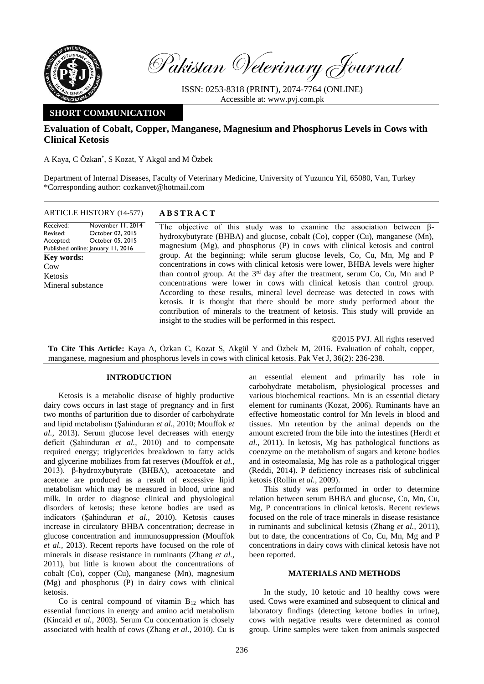

Pakistan Veterinary Journal

ISSN: 0253-8318 (PRINT), 2074-7764 (ONLINE) Accessible at: [www.pvj.com.pk](http://www.pvj.com.pk/)

# **SHORT COMMUNICATION**

# **Evaluation of Cobalt, Copper, Manganese, Magnesium and Phosphorus Levels in Cows with Clinical Ketosis**

A Kaya, C Özkan\* , S Kozat, Y Akgül and M Özbek

Department of Internal Diseases, Faculty of Veterinary Medicine, University of Yuzuncu Yil, 65080, Van, Turkey \*Corresponding author: cozkanvet@hotmail.com

Received: Revised: Accepted: Published online: January 11, 2016 November 11, 2014 October 02, 2015 October 05, 2015 **Key words:**  Cow Ketosis Mineral substance

# ARTICLE HISTORY (14-577) **A B S T R A C T**

The objective of this study was to examine the association between βhydroxybutyrate (BHBA) and glucose, cobalt (Co), copper (Cu), manganese (Mn), magnesium (Mg), and phosphorus (P) in cows with clinical ketosis and control group. At the beginning; while serum glucose levels, Co, Cu, Mn, Mg and P concentrations in cows with clinical ketosis were lower, BHBA levels were higher than control group. At the 3<sup>rd</sup> day after the treatment, serum Co, Cu, Mn and P concentrations were lower in cows with clinical ketosis than control group. According to these results, mineral level decrease was detected in cows with ketosis. It is thought that there should be more study performed about the contribution of minerals to the treatment of ketosis. This study will provide an insight to the studies will be performed in this respect.

©2015 PVJ. All rights reserved

**To Cite This Article:** Kaya A, Özkan C, Kozat S, Akgül Y and Özbek M, 2016. Evaluation of cobalt, copper, manganese, magnesium and phosphorus levels in cows with clinical ketosis. Pak Vet J, 36(2): 236-238.

### **INTRODUCTION**

Ketosis is a metabolic disease of highly productive dairy cows occurs in last stage of pregnancy and in first two months of parturition due to disorder of carbohydrate and lipid metabolism (Şahinduran *et al.,* 2010; Mouffok *et al.,* 2013). Serum glucose level decreases with energy deficit (Şahinduran *et al.,* 2010) and to compensate required energy; triglycerides breakdown to fatty acids and glycerine mobilizes from fat reserves (Mouffok *et al.,*  2013). β-hydroxybutyrate (BHBA), acetoacetate and acetone are produced as a result of excessive lipid metabolism which may be measured in blood, urine and milk. In order to diagnose clinical and physiological disorders of ketosis; these ketone bodies are used as indicators (Şahinduran *et al.,* 2010). Ketosis causes increase in circulatory BHBA concentration; decrease in glucose concentration and immunosuppression (Mouffok *et al.,* 2013). Recent reports have focused on the role of minerals in disease resistance in ruminants (Zhang *et al.,* 2011), but little is known about the concentrations of cobalt (Co), copper (Cu), manganese (Mn), magnesium (Mg) and phosphorus (P) in dairy cows with clinical ketosis.

Co is central compound of vitamin  $B_{12}$  which has essential functions in energy and amino acid metabolism (Kincaid *et al.,* 2003). Serum Cu concentration is closely associated with health of cows (Zhang *et al.,* 2010). Cu is

an essential element and primarily has role in carbohydrate metabolism, physiological processes and various biochemical reactions. Mn is an essential dietary element for ruminants (Kozat, 2006). Ruminants have an effective homeostatic control for Mn levels in blood and tissues. Mn retention by the animal depends on the amount excreted from the bile into the intestines (Herdt *et al.*, 2011). In ketosis, Mg has pathological functions as coenzyme on the metabolism of sugars and ketone bodies and in osteomalasia, Mg has role as a pathological trigger (Reddi, 2014). P deficiency increases risk of subclinical ketosis (Rollin *et al.,* 2009).

This study was performed in order to determine relation between serum BHBA and glucose, Co, Mn, Cu, Mg, P concentrations in clinical ketosis. Recent reviews focused on the role of trace minerals in disease resistance in ruminants and subclinical ketosis (Zhang *et al.,* 2011), but to date, the concentrations of Co, Cu, Mn, Mg and P concentrations in dairy cows with clinical ketosis have not been reported.

### **MATERIALS AND METHODS**

In the study, 10 ketotic and 10 healthy cows were used. Cows were examined and subsequent to clinical and laboratory findings (detecting ketone bodies in urine), cows with negative results were determined as control group. Urine samples were taken from animals suspected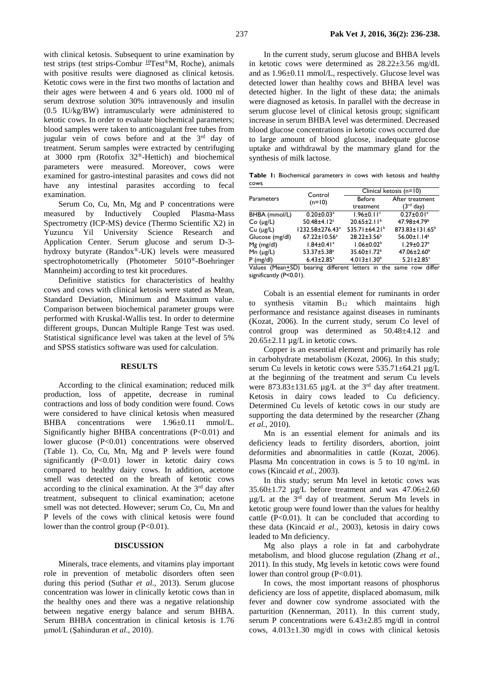with clinical ketosis. Subsequent to urine examination by test strips (test strips-Combur  $^{10}$ Test®M, Roche), animals with positive results were diagnosed as clinical ketosis. Ketotic cows were in the first two months of lactation and their ages were between 4 and 6 years old. 1000 ml of serum dextrose solution 30% intravenously and insulin (0.5 IU/kg/BW) intramuscularly were administered to ketotic cows. In order to evaluate biochemical parameters; blood samples were taken to anticoagulant free tubes from jugular vein of cows before and at the  $3<sup>rd</sup>$  day of treatment. Serum samples were extracted by centrifuging at 3000 rpm (Rotofix 32®-Hettich) and biochemical parameters were measured. Moreover, cows were examined for gastro-intestinal parasites and cows did not have any intestinal parasites according to fecal examination.

Serum Co, Cu, Mn, Mg and P concentrations were measured by Inductively Coupled Plasma-Mass Spectrometry (ICP-MS) device (Thermo Scientific X2) in Yuzuncu Yil University Science Research and Application Center. Serum glucose and serum D-3 hydroxy butyrate (Randox®-UK) levels were measured spectrophotometrically (Photometer 5010®-Boehringer Mannheim) according to test kit procedures.

Definitive statistics for characteristics of healthy cows and cows with clinical ketosis were stated as Mean, Standard Deviation, Minimum and Maximum value. Comparison between biochemical parameter groups were performed with Kruskal-Wallis test. In order to determine different groups, Duncan Multiple Range Test was used. Statistical significance level was taken at the level of 5% and SPSS statistics software was used for calculation.

#### **RESULTS**

According to the clinical examination; reduced milk production, loss of appetite, decrease in ruminal contractions and loss of body condition were found. Cows were considered to have clinical ketosis when measured BHBA concentrations were  $1.96\pm0.11$  mmol/L. Significantly higher BHBA concentrations (P<0.01) and lower glucose (P<0.01) concentrations were observed (Table 1). Co, Cu, Mn, Mg and P levels were found significantly  $(P<0.01)$  lower in ketotic dairy cows compared to healthy dairy cows. In addition, acetone smell was detected on the breath of ketotic cows according to the clinical examination. At the  $3<sup>rd</sup>$  day after treatment, subsequent to clinical examination; acetone smell was not detected. However; serum Co, Cu, Mn and P levels of the cows with clinical ketosis were found lower than the control group (P<0.01).

#### **DISCUSSION**

Minerals, trace elements, and vitamins play important role in prevention of metabolic disorders often seen during this period (Suthar *et al.,* 2013). Serum glucose concentration was lower in clinically ketotic cows than in the healthy ones and there was a negative relationship between negative energy balance and serum BHBA. Serum BHBA concentration in clinical ketosis is 1.76 μmol/L (Şahinduran *et al.,* 2010).

In the current study, serum glucose and BHBA levels in ketotic cows were determined as 28.22±3.56 mg/dL and as 1.96±0.11 mmol/L, respectively. Glucose level was detected lower than healthy cows and BHBA level was detected higher. In the light of these data; the animals were diagnosed as ketosis. In parallel with the decrease in serum glucose level of clinical ketosis group; significant increase in serum BHBA level was determined. Decreased blood glucose concentrations in ketotic cows occurred due to large amount of blood glucose, inadequate glucose uptake and withdrawal by the mammary gland for the synthesis of milk lactose.

**Table 1:** Biochemical parameters in cows with ketosis and healthy cows

| <b>Parameters</b> | Control<br>$(n=10)$                                               | Clinical ketosis (n=10)      |                              |
|-------------------|-------------------------------------------------------------------|------------------------------|------------------------------|
|                   |                                                                   | Before                       | After treatment              |
|                   |                                                                   | treatment                    | $(3rd$ day)                  |
| BHBA (mmol/L)     | $0.20 \pm 0.03$ <sup>a</sup>                                      | $1.96 \pm 0.11$ <sup>c</sup> | $0.27 \pm 0.01$ <sup>a</sup> |
| $Co$ ( $\mu$ g/L) | 50.48±4.12 <sup>a</sup>                                           | $20.65 \pm 2.11^b$           | 47.98±4.79 <sup>b</sup>      |
| Cu (µg/L)         | 1232.58±276.43 <sup>a</sup>                                       | 535.71±64.21 <sup>b</sup>    | $873.83 \pm 131.65^b$        |
| Glucose (mg/dl)   | $67.22 \pm 10.56^a$                                               | $28.22 \pm 3.56^b$           | $56.00 \pm 1.14^a$           |
| $Mg$ (mg/dl)      | $1.84 \pm 0.41$ <sup>a</sup>                                      | $1.06 \pm 0.02^b$            | $1.29 \pm 0.27$ <sup>a</sup> |
| Mn $(\mu g/L)$    | 53.37±5.38 <sup>a</sup>                                           | 35.60±1.72 <sup>b</sup>      | $47.06 \pm 2.60^{\circ}$     |
| $P$ (mg/dl)       | $6.43 \pm 2.85$ <sup>a</sup>                                      | $4.013 \pm 1.30^b$           | $5.21 \pm 2.85$ <sup>c</sup> |
|                   | Values (Mean+SD) bearing different letters in the same row differ |                              |                              |

significantly (P<0.01).

Cobalt is an essential element for ruminants in order synthesis vitamin  $B_{12}$  which maintains high performance and resistance against diseases in ruminants (Kozat, 2006). In the current study, serum Co level of control group was determined as 50.48±4.12 and  $20.65 \pm 2.11 \mu g/L$  in ketotic cows.

Copper is an essential element and primarily has role in carbohydrate metabolism (Kozat, 2006). In this study; serum Cu levels in ketotic cows were 535.71±64.21 µg/L at the beginning of the treatment and serum Cu levels were  $873.83 \pm 131.65$  µg/L at the 3<sup>rd</sup> day after treatment. Ketosis in dairy cows leaded to Cu deficiency. Determined Cu levels of ketotic cows in our study are supporting the data determined by the researcher (Zhang *et al.,* 2010).

Mn is an essential element for animals and its deficiency leads to fertility disorders, abortion, joint deformities and abnormalities in cattle (Kozat, 2006). Plasma Mn concentration in cows is 5 to 10 ng/mL in cows (Kincaid *et al.,* 2003).

In this study; serum Mn level in ketotic cows was  $35.60\pm1.72$  µg/L before treatment and was  $47.06\pm2.60$ µg/L at the 3rd day of treatment. Serum Mn levels in ketotic group were found lower than the values for healthy cattle  $(P<0.01)$ . It can be concluded that according to these data (Kincaid *et al.,* 2003), ketosis in dairy cows leaded to Mn deficiency.

Mg also plays a role in fat and carbohydrate metabolism, and blood glucose regulation (Zhang *et al.,* 2011). In this study, Mg levels in ketotic cows were found lower than control group  $(P<0.01)$ .

In cows, the most important reasons of phosphorus deficiency are loss of appetite, displaced abomasum, milk fever and downer cow syndrome associated with the parturition (Kennerman, 2011). In this current study, serum P concentrations were 6.43±2.85 mg/dl in control cows, 4.013±1.30 mg/dl in cows with clinical ketosis